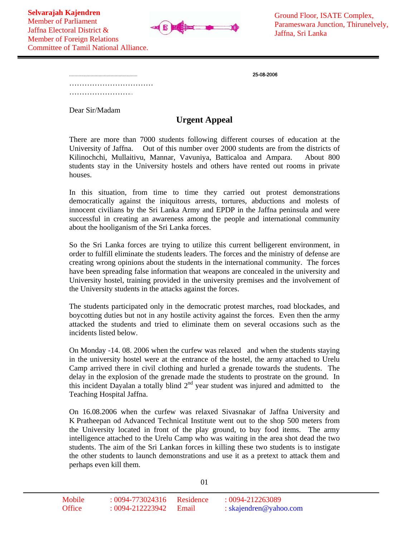

................................................... 25-08-2006

…………………………… ……………………………

Dear Sir/Madam

## **Urgent Appeal**

There are more than 7000 students following different courses of education at the University of Jaffna. Out of this number over 2000 students are from the districts of Kilinochchi, Mullaitivu, Mannar, Vavuniya, Batticaloa and Ampara. About 800 students stay in the University hostels and others have rented out rooms in private houses.

In this situation, from time to time they carried out protest demonstrations democratically against the iniquitous arrests, tortures, abductions and molests of innocent civilians by the Sri Lanka Army and EPDP in the Jaffna peninsula and were successful in creating an awareness among the people and international community about the hooliganism of the Sri Lanka forces.

So the Sri Lanka forces are trying to utilize this current belligerent environment, in order to fulfill eliminate the students leaders. The forces and the ministry of defense are creating wrong opinions about the students in the international community. The forces have been spreading false information that weapons are concealed in the university and University hostel, training provided in the university premises and the involvement of the University students in the attacks against the forces.

The students participated only in the democratic protest marches, road blockades, and boycotting duties but not in any hostile activity against the forces. Even then the army attacked the students and tried to eliminate them on several occasions such as the incidents listed below.

On Monday -14. 08. 2006 when the curfew was relaxed and when the students staying in the university hostel were at the entrance of the hostel, the army attached to Urelu Camp arrived there in civil clothing and hurled a grenade towards the students. The delay in the explosion of the grenade made the students to prostrate on the ground. In this incident Dayalan a totally blind  $2<sup>nd</sup>$  year student was injured and admitted to the Teaching Hospital Jaffna.

On 16.08.2006 when the curfew was relaxed Sivasnakar of Jaffna University and K Pratheepan od Advanced Technical Institute went out to the shop 500 meters from the University located in front of the play ground, to buy food items. The army intelligence attached to the Urelu Camp who was waiting in the area shot dead the two students. The aim of the Sri Lankan forces in killing these two students is to instigate the other students to launch demonstrations and use it as a pretext to attack them and perhaps even kill them.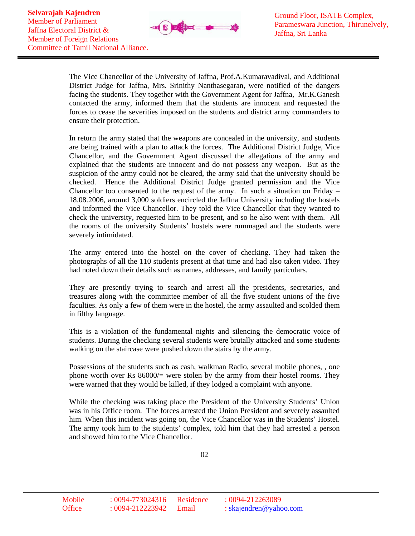

The Vice Chancellor of the University of Jaffna, Prof.A.Kumaravadival, and Additional District Judge for Jaffna, Mrs. Srinithy Nanthasegaran, were notified of the dangers facing the students. They together with the Government Agent for Jaffna, Mr.K.Ganesh contacted the army, informed them that the students are innocent and requested the forces to cease the severities imposed on the students and district army commanders to ensure their protection.

In return the army stated that the weapons are concealed in the university, and students are being trained with a plan to attack the forces. The Additional District Judge, Vice Chancellor, and the Government Agent discussed the allegations of the army and explained that the students are innocent and do not possess any weapon. But as the suspicion of the army could not be cleared, the army said that the university should be checked. Hence the Additional District Judge granted permission and the Vice Chancellor too consented to the request of the army. In such a situation on Friday – 18.08.2006, around 3,000 soldiers encircled the Jaffna University including the hostels and informed the Vice Chancellor. They told the Vice Chancellor that they wanted to check the university, requested him to be present, and so he also went with them. All the rooms of the university Students' hostels were rummaged and the students were severely intimidated.

The army entered into the hostel on the cover of checking. They had taken the photographs of all the 110 students present at that time and had also taken video. They had noted down their details such as names, addresses, and family particulars.

They are presently trying to search and arrest all the presidents, secretaries, and treasures along with the committee member of all the five student unions of the five faculties. As only a few of them were in the hostel, the army assaulted and scolded them in filthy language.

This is a violation of the fundamental nights and silencing the democratic voice of students. During the checking several students were brutally attacked and some students walking on the staircase were pushed down the stairs by the army.

Possessions of the students such as cash, walkman Radio, several mobile phones, , one phone worth over Rs  $86000/$  were stolen by the army from their hostel rooms. They were warned that they would be killed, if they lodged a complaint with anyone.

While the checking was taking place the President of the University Students' Union was in his Office room. The forces arrested the Union President and severely assaulted him. When this incident was going on, the Vice Chancellor was in the Students' Hostel. The army took him to the students' complex, told him that they had arrested a person and showed him to the Vice Chancellor.

02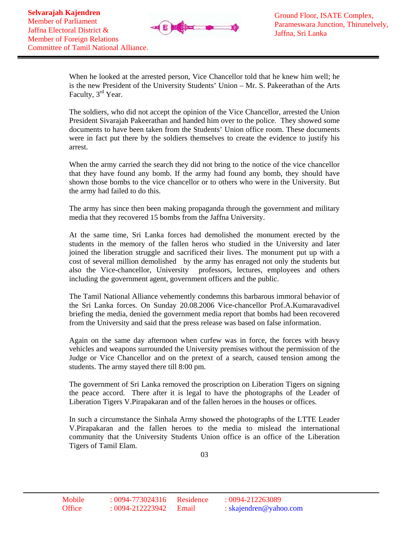

When he looked at the arrested person, Vice Chancellor told that he knew him well; he is the new President of the University Students' Union – Mr. S. Pakeerathan of the Arts Faculty, 3<sup>rd</sup> Year.

The soldiers, who did not accept the opinion of the Vice Chancellor, arrested the Union President Sivarajah Pakeerathan and handed him over to the police. They showed some documents to have been taken from the Students' Union office room. These documents were in fact put there by the soldiers themselves to create the evidence to justify his arrest.

When the army carried the search they did not bring to the notice of the vice chancellor that they have found any bomb. If the army had found any bomb, they should have shown those bombs to the vice chancellor or to others who were in the University. But the army had failed to do this.

The army has since then been making propaganda through the government and military media that they recovered 15 bombs from the Jaffna University.

At the same time, Sri Lanka forces had demolished the monument erected by the students in the memory of the fallen heros who studied in the University and later joined the liberation struggle and sacrificed their lives. The monument put up with a cost of several million demolished by the army has enraged not only the students but also the Vice-chancellor, University professors, lectures, employees and others including the government agent, government officers and the public.

The Tamil National Alliance vehemently condemns this barbarous immoral behavior of the Sri Lanka forces. On Sunday 20.08.2006 Vice-chancellor Prof.A.Kumaravadivel briefing the media, denied the government media report that bombs had been recovered from the University and said that the press release was based on false information.

Again on the same day afternoon when curfew was in force, the forces with heavy vehicles and weapons surrounded the University premises without the permission of the Judge or Vice Chancellor and on the pretext of a search, caused tension among the students. The army stayed there till 8:00 pm.

The government of Sri Lanka removed the proscription on Liberation Tigers on signing the peace accord. There after it is legal to have the photographs of the Leader of Liberation Tigers V.Pirapakaran and of the fallen heroes in the houses or offices.

In such a circumstance the Sinhala Army showed the photographs of the LTTE Leader V.Pirapakaran and the fallen heroes to the media to mislead the international community that the University Students Union office is an office of the Liberation Tigers of Tamil Elam.

03